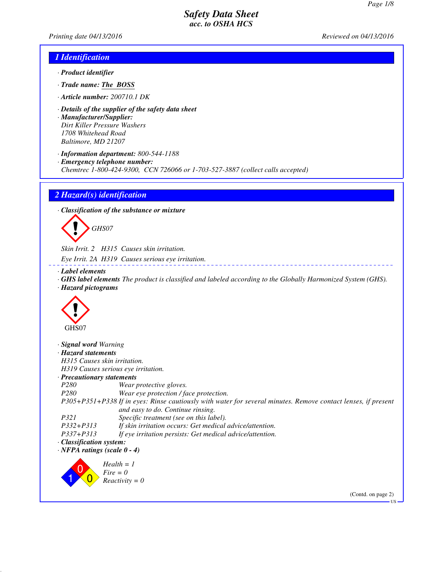*Printing date 04/13/2016 Reviewed on 04/13/2016*

### *1 Identification*

- *· Product identifier*
- *· Trade name: The BOSS*
- *· Article number: 200710.1 DK*
- *· Details of the supplier of the safety data sheet*
- *· Manufacturer/Supplier: Dirt Killer Pressure Washers 1708 Whitehead Road Baltimore, MD 21207*
- *· Information department: 800-544-1188*
- *· Emergency telephone number:*
- *Chemtrec 1-800-424-9300, CCN 726066 or 1-703-527-3887 (collect calls accepted)*

#### *2 Hazard(s) identification*

*· Classification of the substance or mixture*



*Skin Irrit. 2 H315 Causes skin irritation. Eye Irrit. 2A H319 Causes serious eye irritation.*

#### *· Label elements*

*· GHS label elements The product is classified and labeled according to the Globally Harmonized System (GHS). · Hazard pictograms*

<u>Liberation</u>



| Signal word Warning                |                                                                                                                                                    |
|------------------------------------|----------------------------------------------------------------------------------------------------------------------------------------------------|
| · Hazard statements                |                                                                                                                                                    |
|                                    | H315 Causes skin irritation.                                                                                                                       |
|                                    | H319 Causes serious eye irritation.                                                                                                                |
| $\cdot$ Precautionary statements   |                                                                                                                                                    |
| <i>P280</i>                        | Wear protective gloves.                                                                                                                            |
| P <sub>280</sub>                   | Wear eye protection / face protection.                                                                                                             |
|                                    | P305+P351+P338 If in eyes: Rinse cautiously with water for several minutes. Remove contact lenses, if present<br>and easy to do. Continue rinsing. |
| P321                               | Specific treatment (see on this label).                                                                                                            |
| $P332 + P313$                      | If skin irritation occurs: Get medical advice/attention.                                                                                           |
| P337+P313                          | If eye irritation persists: Get medical advice/attention.                                                                                          |
| · Classification system:           |                                                                                                                                                    |
| $\cdot$ NFPA ratings (scale 0 - 4) |                                                                                                                                                    |
|                                    | $Health = 1$<br>$Fire = 0$                                                                                                                         |
|                                    | $Reactivity = 0$                                                                                                                                   |

(Contd. on page 2)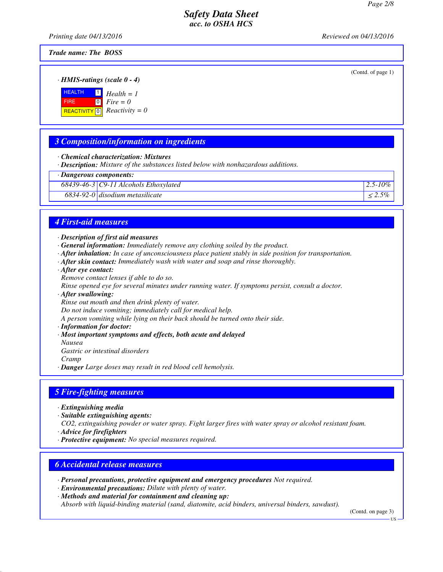*Printing date 04/13/2016 Reviewed on 04/13/2016*

(Contd. of page 1)

*Trade name: The BOSS*

*· HMIS-ratings (scale 0 - 4)*

**HEALTH FIRE**  $R$ **REACTIVITY**  $\boxed{0}$  *Reactivity = 0* 1 *Health = 1*  $\boxed{0}$ *Fire = 0*

# *3 Composition/information on ingredients*

- *· Chemical characterization: Mixtures*
- *· Description: Mixture of the substances listed below with nonhazardous additions.*

## *· Dangerous components:*

*68439-46-3 C9-11 Alcohols Ethoxylated 2.5-10%*

 $6834-92-0$  disodium metasilicate  $\leq 2.5\%$ 

# *4 First-aid measures*

- *· Description of first aid measures*
- *· General information: Immediately remove any clothing soiled by the product.*
- *· After inhalation: In case of unconsciousness place patient stably in side position for transportation.*
- *· After skin contact: Immediately wash with water and soap and rinse thoroughly.*
- *· After eye contact:*
- *Remove contact lenses if able to do so.*
- *Rinse opened eye for several minutes under running water. If symptoms persist, consult a doctor.*
- *· After swallowing:*

*Rinse out mouth and then drink plenty of water.*

*Do not induce vomiting; immediately call for medical help.*

*A person vomiting while lying on their back should be turned onto their side.*

- *· Information for doctor:*
- *· Most important symptoms and effects, both acute and delayed*
- *Nausea*

*Gastric or intestinal disorders*

*Cramp*

*· Danger Large doses may result in red blood cell hemolysis.*

## *5 Fire-fighting measures*

- *· Extinguishing media*
- *· Suitable extinguishing agents:*
- *CO2, extinguishing powder or water spray. Fight larger fires with water spray or alcohol resistant foam.*
- *· Advice for firefighters*
- *· Protective equipment: No special measures required.*

## *6 Accidental release measures*

- *· Personal precautions, protective equipment and emergency procedures Not required.*
- *· Environmental precautions: Dilute with plenty of water.*
- *· Methods and material for containment and cleaning up:*

*Absorb with liquid-binding material (sand, diatomite, acid binders, universal binders, sawdust).*

(Contd. on page 3)

US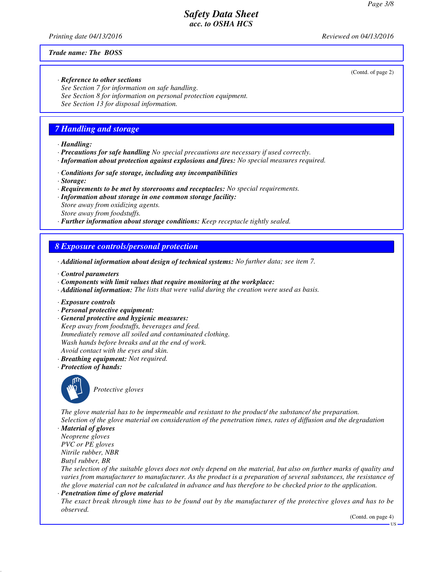*Printing date 04/13/2016 Reviewed on 04/13/2016*

#### *Trade name: The BOSS*

(Contd. of page 2)

*· Reference to other sections See Section 7 for information on safe handling. See Section 8 for information on personal protection equipment. See Section 13 for disposal information.*

## *7 Handling and storage*

*· Handling:*

- *· Precautions for safe handling No special precautions are necessary if used correctly.*
- *· Information about protection against explosions and fires: No special measures required.*
- *· Conditions for safe storage, including any incompatibilities*
- *· Storage:*
- *· Requirements to be met by storerooms and receptacles: No special requirements.*
- *· Information about storage in one common storage facility:*

*Store away from oxidizing agents. Store away from foodstuffs.*

*· Further information about storage conditions: Keep receptacle tightly sealed.*

### *8 Exposure controls/personal protection*

- *· Additional information about design of technical systems: No further data; see item 7.*
- *· Control parameters*
- *· Components with limit values that require monitoring at the workplace:*
- *· Additional information: The lists that were valid during the creation were used as basis.*
- *· Exposure controls*
- *· Personal protective equipment:*
- *· General protective and hygienic measures:*

*Keep away from foodstuffs, beverages and feed. Immediately remove all soiled and contaminated clothing. Wash hands before breaks and at the end of work. Avoid contact with the eyes and skin.*

- *· Breathing equipment: Not required.*
- *· Protection of hands:*



\_S*Protective gloves*

*The glove material has to be impermeable and resistant to the product/ the substance/ the preparation. Selection of the glove material on consideration of the penetration times, rates of diffusion and the degradation*

*· Material of gloves Neoprene gloves PVC or PE gloves Nitrile rubber, NBR Butyl rubber, BR*

*The selection of the suitable gloves does not only depend on the material, but also on further marks of quality and varies from manufacturer to manufacturer. As the product is a preparation of several substances, the resistance of the glove material can not be calculated in advance and has therefore to be checked prior to the application.*

*· Penetration time of glove material*

*The exact break through time has to be found out by the manufacturer of the protective gloves and has to be observed.*

(Contd. on page 4)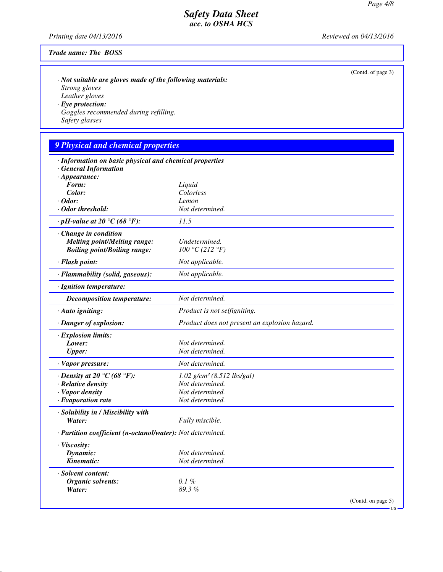(Contd. of page 3)

#### *Safety Data Sheet acc. to OSHA HCS*

*Printing date 04/13/2016 Reviewed on 04/13/2016*

#### *Trade name: The BOSS*

*· Not suitable are gloves made of the following materials: Strong gloves Leather gloves · Eye protection: Goggles recommended during refilling.*

*Safety glasses*

## *9 Physical and chemical properties · Information on basic physical and chemical properties · General Information · Appearance: Form: Liquid Color: Colorless · Odor: Lemon · Odor threshold: Not determined. · pH-value at 20 °C (68 °F): 11.5 · Change in condition Melting point/Melting range: Undetermined.*<br> *Boiling point/Boiling range:*  $100 \, \degree \text{C} \ (212 \, \degree \text{F})$  $B\text{oiling point}/B\text{oiling range:}$ *· Flash point: Not applicable. · Flammability (solid, gaseous): Not applicable. · Ignition temperature: Decomposition temperature: Not determined. · Auto igniting: Product is not selfigniting. · Danger of explosion: Product does not present an explosion hazard. · Explosion limits: Lower: Not determined. Upper: Not determined. · Vapor pressure: Not determined. · Density at 20 °C (68 °F): 1.02 g/cm³ (8.512 lbs/gal) · Relative density Not determined. · Vapor density Not determined. · Evaporation rate Not determined. · Solubility in / Miscibility with Water: Fully miscible. · Partition coefficient (n-octanol/water): Not determined. · Viscosity: Dynamic: Not determined.*

*Kinematic: Not determined. · Solvent content: Organic solvents: 0.1 % Water: 89.3 %*

(Contd. on page 5)

US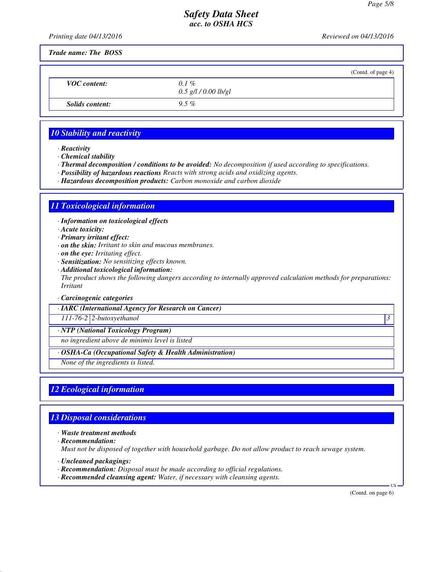*Printing date 04/13/2016 Reviewed on 04/13/2016*

*Trade name: The BOSS*

|                     |                                   | (Contd. of page 4) |
|---------------------|-----------------------------------|--------------------|
| <b>VOC</b> content: | $0.1\%$<br>$0.5$ g/l / 0.00 lb/gl |                    |
| Solids content:     | $9.5\%$                           |                    |
|                     |                                   |                    |

## *10 Stability and reactivity*

*· Reactivity*

*· Chemical stability*

- *· Thermal decomposition / conditions to be avoided: No decomposition if used according to specifications.*
- *· Possibility of hazardous reactions Reacts with strong acids and oxidizing agents.*
- *· Hazardous decomposition products: Carbon monoxide and carbon dioxide*

## *11 Toxicological information*

*· Information on toxicological effects*

*· Acute toxicity:*

- *· Primary irritant effect:*
- *· on the skin: Irritant to skin and mucous membranes.*
- *· on the eye: Irritating effect.*
- *· Sensitization: No sensitizing effects known.*
- *· Additional toxicological information:*

*The product shows the following dangers according to internally approved calculation methods for preparations: Irritant*

#### *· Carcinogenic categories*

*· IARC (International Agency for Research on Cancer)*

*111-76-2 2-butoxyethanol 3* 

*· NTP (National Toxicology Program)*

*no ingredient above de minimis level is listed*

*· OSHA-Ca (Occupational Safety & Health Administration)*

*None of the ingredients is listed.*

## *12 Ecological information*

## *13 Disposal considerations*

*· Waste treatment methods*

*· Recommendation: Must not be disposed of together with household garbage. Do not allow product to reach sewage system.*

- *· Uncleaned packagings:*
- *· Recommendation: Disposal must be made according to official regulations.*
- *· Recommended cleansing agent: Water, if necessary with cleansing agents.*

(Contd. on page 6)

US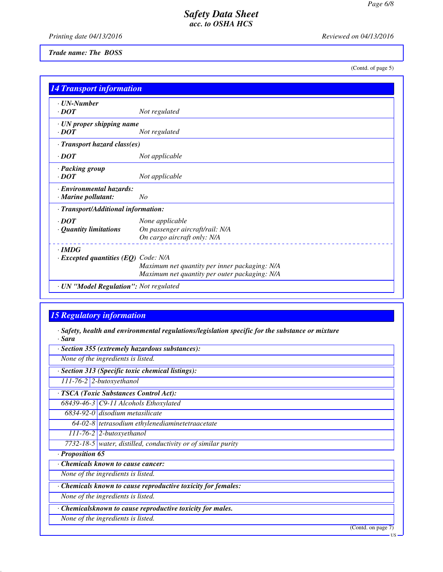*Printing date 04/13/2016 Reviewed on 04/13/2016*

*Trade name: The BOSS*

(Contd. of page 5)

| <b>14 Transport information</b>                            |                                                                                                |  |  |  |
|------------------------------------------------------------|------------------------------------------------------------------------------------------------|--|--|--|
| $\cdot$ UN-Number<br>$\cdot$ <i>DOT</i>                    | Not regulated                                                                                  |  |  |  |
| · UN proper shipping name<br>$\cdot$ <i>DOT</i>            | Not regulated                                                                                  |  |  |  |
| · Transport hazard class(es)                               |                                                                                                |  |  |  |
| $\cdot$ <i>DOT</i>                                         | Not applicable                                                                                 |  |  |  |
| · Packing group<br>$\cdot$ DOT                             | Not applicable                                                                                 |  |  |  |
| · Environmental hazards:<br>$\cdot$ Marine pollutant:      | No                                                                                             |  |  |  |
| · Transport/Additional information:                        |                                                                                                |  |  |  |
| $\cdot$ DOT<br>· Quantity limitations                      | None applicable<br>On passenger aircraft/rail: N/A<br>On cargo aircraft only: N/A              |  |  |  |
| $\cdot$ IMDG<br>$\cdot$ Excepted quantities (EQ) Code: N/A | Maximum net quantity per inner packaging: N/A<br>Maximum net quantity per outer packaging: N/A |  |  |  |
| · UN "Model Regulation": Not regulated                     |                                                                                                |  |  |  |

## *15 Regulatory information*

*· Safety, health and environmental regulations/legislation specific for the substance or mixture · Sara*

|                                    | None of the ingredients is listed.                            |  |
|------------------------------------|---------------------------------------------------------------|--|
|                                    | · Section 313 (Specific toxic chemical listings):             |  |
|                                    | $\overline{111-76-2}$ 2-butoxyethanol                         |  |
|                                    | · TSCA (Toxic Substances Control Act):                        |  |
|                                    | $68439-46-3$ C9-11 Alcohols Ethoxylated                       |  |
|                                    | 6834-92-0 disodium metasilicate                               |  |
|                                    | $64-02-8$ tetrasodium ethylenediaminetetraacetate             |  |
|                                    | $111$ -76-2 2-butoxyethanol                                   |  |
|                                    | 7732-18-5 water, distilled, conductivity or of similar purity |  |
| · Proposition 65                   |                                                               |  |
|                                    | <b>Chemicals known to cause cancer:</b>                       |  |
|                                    | None of the ingredients is listed.                            |  |
|                                    | Chemicals known to cause reproductive toxicity for females:   |  |
| None of the ingredients is listed. |                                                               |  |
|                                    | Chemicalsknown to cause reproductive toxicity for males.      |  |
|                                    | None of the ingredients is listed.                            |  |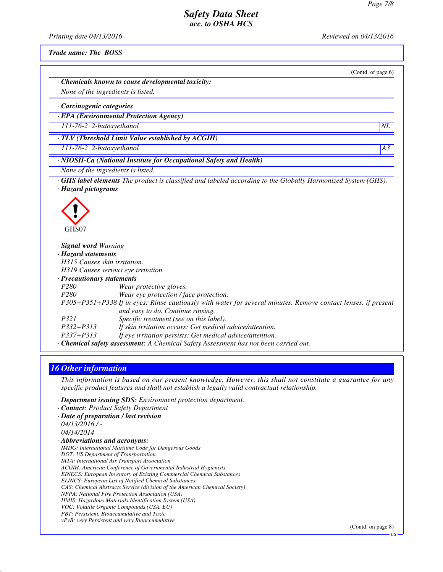*Printing date 04/13/2016 Reviewed on 04/13/2016*

*Trade name: The BOSS*

(Contd. of page 6)

*· Chemicals known to cause developmental toxicity:*

*None of the ingredients is listed.*

*· Carcinogenic categories*

*· EPA (Environmental Protection Agency)*

*111-76-2 2-butoxyethanol NL*

*· TLV (Threshold Limit Value established by ACGIH)*

*111-76-2 2-butoxyethanol A3*

*· NIOSH-Ca (National Institute for Occupational Safety and Health)*

*None of the ingredients is listed.*

*· GHS label elements The product is classified and labeled according to the Globally Harmonized System (GHS). · Hazard pictograms*



| · Signal word Warning                                                                                         |  |  |  |
|---------------------------------------------------------------------------------------------------------------|--|--|--|
| · Hazard statements                                                                                           |  |  |  |
| H315 Causes skin irritation.                                                                                  |  |  |  |
| H319 Causes serious eye irritation.                                                                           |  |  |  |
| $\cdot$ Precautionary statements                                                                              |  |  |  |
| P <sub>280</sub><br>Wear protective gloves.                                                                   |  |  |  |
| Wear eye protection / face protection.<br>P <sub>280</sub>                                                    |  |  |  |
| P305+P351+P338 If in eyes: Rinse cautiously with water for several minutes. Remove contact lenses, if present |  |  |  |
| and easy to do. Continue rinsing.                                                                             |  |  |  |
| Specific treatment (see on this label).<br>P321                                                               |  |  |  |
| If skin irritation occurs: Get medical advice/attention.<br>$P332 + P313$                                     |  |  |  |
| If eye irritation persists: Get medical advice/attention.<br>$P337 + P313$                                    |  |  |  |
| · Chemical safety assessment: A Chemical Safety Assessment has not been carried out.                          |  |  |  |

#### *16 Other information*

*This information is based on our present knowledge. However, this shall not constitute a guarantee for any specific product features and shall not establish a legally valid contractual relationship.*

*· Department issuing SDS: Environment protection department.*

- *· Contact: Product Safety Department*
- *· Date of preparation / last revision 04/13/2016 / - 04/14/2014 · Abbreviations and acronyms: IMDG: International Maritime Code for Dangerous Goods DOT: US Department of Transportation IATA: International Air Transport Association ACGIH: American Conference of Governmental Industrial Hygienists EINECS: European Inventory of Existing Commercial Chemical Substances ELINCS: European List of Notified Chemical Substances CAS: Chemical Abstracts Service (division of the American Chemical Society) NFPA: National Fire Protection Association (USA) HMIS: Hazardous Materials Identification System (USA) VOC: Volatile Organic Compounds (USA, EU) PBT: Persistent, Bioaccumulative and Toxic vPvB: very Persistent and very Bioaccumulative*

(Contd. on page 8)

US